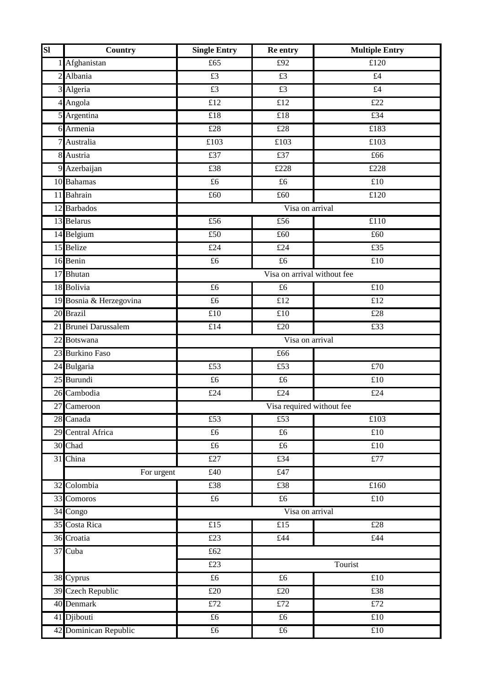| SI | Country                 | <b>Single Entry</b>           | Re entry                    | <b>Multiple Entry</b>                |
|----|-------------------------|-------------------------------|-----------------------------|--------------------------------------|
|    | 1 Afghanistan           | £65                           | £92                         | £120                                 |
|    | 2 Albania               | $\overline{£3}$               | $\overline{£3}$             | £4                                   |
|    | 3 Algeria               | £3                            | £3                          | £4                                   |
|    | 4 Angola                | £12                           | £12                         | £22                                  |
|    | $5$ Argentina           | £18                           | £18                         | £34                                  |
|    | 6 Armenia               | £28                           | £28                         | £183                                 |
|    | 7 Australia             | £103                          | £103                        | £103                                 |
|    | 8 Austria               | £37                           | £37                         | £66                                  |
|    | 9 Azerbaijan            | £38                           | £228                        | $\overline{\text{\textsterling}}228$ |
|    | 10 Bahamas              | £6                            | £6                          | £10                                  |
|    | 11 Bahrain              | £60                           | £60                         | £120                                 |
|    | 12 Barbados             |                               | Visa on arrival             |                                      |
|    | 13 Belarus              | £56                           | £56                         | £110                                 |
|    | 14 Belgium              | £50                           | £60                         | £60                                  |
|    | 15 Belize               | $\overline{\text{\pounds}24}$ | £24                         | £35                                  |
|    | 16 Benin                | £6                            | £6                          | £10                                  |
|    | 17 Bhutan               |                               | Visa on arrival without fee |                                      |
|    | 18 Bolivia              | £6                            | £6                          | £10                                  |
|    | 19 Bosnia & Herzegovina | £6                            | £12                         | £12                                  |
|    | 20 Brazil               | £10                           | £10                         | £28                                  |
|    | 21 Brunei Darussalem    | £14                           | £20                         | £33                                  |
|    | 22 Botswana             | Visa on arrival               |                             |                                      |
|    | 23 Burkino Faso         |                               | £66                         |                                      |
|    | 24 Bulgaria             | £53                           | £53                         | £70                                  |
|    | 25 Burundi              | £6                            | $\overline{f6}$             | £10                                  |
|    | 26 Cambodia             | £24                           | £24                         | £24                                  |
|    | 27 Cameroon             |                               | Visa required without fee   |                                      |
|    | 28 Canada               | £53                           | £53                         | £103                                 |
|    | 29 Central Africa       | $\pounds 6$                   | $\overline{£6}$             | £10                                  |
|    | 30 Chad                 | £6                            | $\pounds 6$                 | £10                                  |
|    | 31 China                | £27                           | £34                         | f77                                  |
|    | For urgent              | £40                           | £47                         |                                      |
|    | 32 Colombia             | £38                           | £38                         | £160                                 |
|    | 33 Comoros              | $\pounds 6$                   | £6                          | $\overline{\text{£}}10$              |
|    | 34 Congo                |                               | Visa on arrival             |                                      |
|    | 35 Costa Rica           | £15                           | £15                         | £28                                  |
|    | 36 Croatia              | £23                           | £44                         | £44                                  |
|    | 37 Cuba                 | £62                           |                             |                                      |
|    |                         | £23                           |                             | Tourist                              |
|    | 38 Cyprus               | £6                            | $\pounds 6$                 | £10                                  |
|    | 39 Czech Republic       | $\overline{£20}$              | £20                         | £38                                  |
|    | 40 Denmark              | £72                           | £72                         | £72                                  |
|    | 41 Djibouti             | $\pounds 6$                   | £6                          | £10                                  |
|    | 42 Dominican Republic   | £6                            | £6                          | £10                                  |
|    |                         |                               |                             |                                      |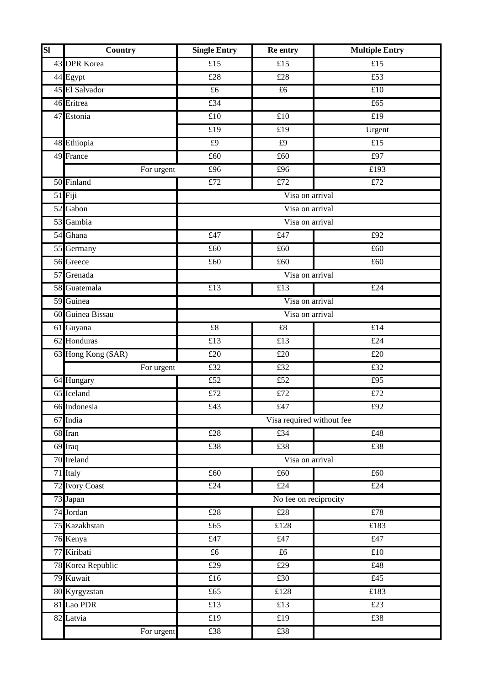| SI | <b>Country</b>     | <b>Single Entry</b>                 | Re entry                      | <b>Multiple Entry</b> |
|----|--------------------|-------------------------------------|-------------------------------|-----------------------|
|    | 43 DPR Korea       | £15                                 | £15                           | £15                   |
|    | 44 Egypt           | £28                                 | £28                           | £53                   |
|    | 45 El Salvador     | £6                                  | £6                            | £10                   |
|    | 46 Eritrea         | £34                                 |                               | £65                   |
|    | 47 Estonia         | $\overline{\text{£}10}$             | $\overline{\text{\pounds}10}$ | £19                   |
|    |                    | £19                                 | £19                           | Urgent                |
|    | 48 Ethiopia        | £9                                  | £9                            | £15                   |
|    | 49 France          | £60                                 | £60                           | £97                   |
|    | For urgent         | £96                                 | £96                           | £193                  |
|    | 50 Finland         | £72                                 | £72                           | £72                   |
|    | 51 Fiji            |                                     | Visa on arrival               |                       |
|    | 52 Gabon           | Visa on arrival                     |                               |                       |
|    | 53 Gambia          |                                     | Visa on arrival               |                       |
|    | 54 Ghana           | £47                                 | £47                           | £92                   |
|    | 55 Germany         | £60                                 | £60                           | £60                   |
|    | 56 Greece          | £60                                 | £60                           | £60                   |
|    | 57 Grenada         |                                     | Visa on arrival               |                       |
|    | 58 Guatemala       | $\overline{£13}$                    | $\overline{£13}$              | £24                   |
|    | 59 Guinea          |                                     | Visa on arrival               |                       |
|    | 60 Guinea Bissau   |                                     | Visa on arrival               |                       |
|    | 61 Guyana          | $\pounds 8$                         | $\pounds 8$                   | £14                   |
|    | 62 Honduras        | £13                                 | £13                           | £24                   |
|    | 63 Hong Kong (SAR) | £20                                 | £20                           | £20                   |
|    | For urgent         | £32                                 | £32                           | £32                   |
|    | 64 Hungary         | $\overline{£52}$                    | $\overline{£52}$              | £95                   |
|    | 65 Iceland         | $\overline{£72}$                    | $\overline{£72}$              | £72                   |
|    | 66 Indonesia       | £43                                 | $\overline{£47}$              | £92                   |
|    | 67 India           | Visa required without fee           |                               |                       |
|    | 68 Iran            | £28                                 | £34                           | £48                   |
|    | 69 Iraq            | £38                                 | £38                           | £38                   |
|    | 70 Ireland         |                                     | Visa on arrival               |                       |
|    | 71 Italy           | £60                                 | £60                           | £60                   |
|    | 72 Ivory Coast     | £24                                 | £24                           | £24                   |
|    | 73 Japan           |                                     | No fee on reciprocity         |                       |
|    | 74 Jordan          | £28                                 | £28                           | $\overline{£78}$      |
|    | 75 Kazakhstan      | $\overline{\text{\textsterling}65}$ | £128                          | £183                  |
|    | 76 Kenya           | £47                                 | £47                           | £47                   |
|    | 77 Kiribati        | £6                                  | £6                            | £10                   |
|    | 78 Korea Republic  | £29                                 | £29                           | £48                   |
|    | 79 Kuwait          | $\overline{£16}$                    | £30                           | £45                   |
|    | 80 Kyrgyzstan      | £65                                 | £128                          | £183                  |
|    | 81 Lao PDR         | £13                                 | £13                           | £23                   |
|    | 82 Latvia          | £19                                 | £19                           | £38                   |
|    | For urgent         | £38                                 | £38                           |                       |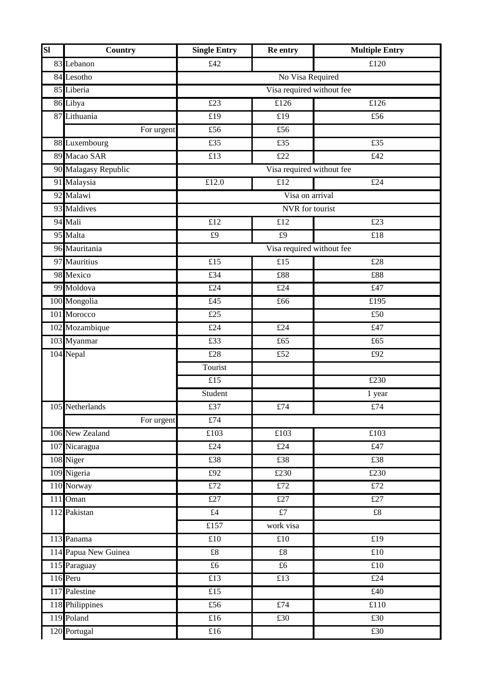| <b>SI</b> | Country              | <b>Single Entry</b>            | Re entry                  | <b>Multiple Entry</b> |
|-----------|----------------------|--------------------------------|---------------------------|-----------------------|
|           | 83 Lebanon           | £42                            |                           | £120                  |
|           | 84 Lesotho           |                                | No Visa Required          |                       |
|           | 85 Liberia           |                                | Visa required without fee |                       |
|           | 86 Libya             | £23                            | £126                      | £126                  |
|           | 87 Lithuania         | £19                            | £19                       | £56                   |
|           | For urgent           | £56                            | £56                       |                       |
|           | 88 Luxembourg        | £35                            | £35                       | £35                   |
|           | 89 Macao SAR         | $\overline{£13}$               | £22                       | £42                   |
|           | 90 Malagasy Republic | Visa required without fee      |                           |                       |
|           | 91 Malaysia          | £12.0                          | £12                       | £24                   |
|           | 92 Malawi            |                                | Visa on arrival           |                       |
|           | 93 Maldives          |                                | NVR for tourist           |                       |
|           | 94 Mali              | £12                            | £12                       | £23                   |
|           | 95 Malta             | £9                             | £9                        | £18                   |
|           | 96 Mauritania        |                                | Visa required without fee |                       |
|           | 97 Mauritius         | $\overline{£15}$               | $\overline{£15}$          | £28                   |
|           | 98 Mexico            | £34                            | £88                       | £88                   |
|           | 99 Moldova           | £24                            | £24                       | $\overline{t}47$      |
|           | 100 Mongolia         | $\overline{£45}$               | £66                       | £195                  |
|           | 101 Morocco          | £25                            |                           | £50                   |
|           | 102 Mozambique       | £24                            | £24                       | £47                   |
|           | 103 Myanmar          | £33                            | £65                       | £65                   |
|           | 104 Nepal            | £28                            | £52                       | £92                   |
|           |                      | Tourist                        |                           |                       |
|           |                      | $\overline{£15}$               |                           | £230                  |
|           |                      | Student                        |                           | 1 year                |
|           | 105 Netherlands      | £37                            | $\pounds 74$              | $\pounds 74$          |
|           | For urgent           | £74                            |                           |                       |
|           | 106 New Zealand      | $\overline{\text{\pounds}103}$ | £103                      | £103                  |
|           | 107 Nicaragua        | £24                            | £24                       | £47                   |
|           | 108 Niger            | £38                            | £38                       | £38                   |
|           | 109 Nigeria          | £92                            | £230                      | £230                  |
|           | 110 Norway           | £72                            | £72                       | £72                   |
|           | 111 Oman             | £27                            | £27                       | £27                   |
|           | 112 Pakistan         | £4                             | f7                        | £8                    |
|           |                      | £157                           | work visa                 |                       |
|           | 113 Panama           | £10                            | £10                       | £19                   |
|           | 114 Papua New Guinea | £8                             | $\pounds 8$               | £10                   |
|           | 115 Paraguay         | £6                             | £6                        | £10                   |
|           | 116 Peru             | $\overline{£13}$               | £13                       | £24                   |
|           | 117 Palestine        | £15                            |                           | £40                   |
|           | 118 Philippines      | £56                            | £74                       | £110                  |
|           | 119 Poland           | £16                            | £30                       | £30                   |
|           | 120 Portugal         | £16                            |                           | £30                   |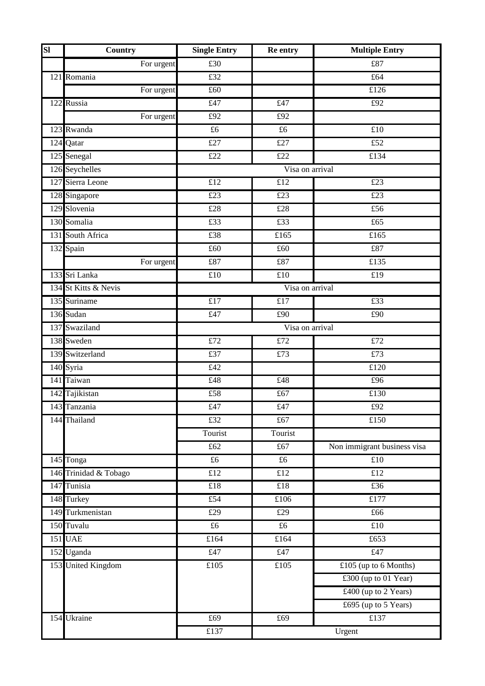| $\overline{\mathbf{S}}$ | <b>Country</b>        | <b>Single Entry</b> | Re entry                            | <b>Multiple Entry</b>                |
|-------------------------|-----------------------|---------------------|-------------------------------------|--------------------------------------|
|                         | For urgent            | £30                 |                                     | £87                                  |
|                         | 121 Romania           | £32                 |                                     | £64                                  |
|                         | For urgent            | £60                 |                                     | £126                                 |
|                         | 122 Russia            | £47                 | £47                                 | £92                                  |
|                         | For urgent            | $\overline{£92}$    | £92                                 |                                      |
|                         | 123 Rwanda            | £6                  | £6                                  | £10                                  |
|                         | 124 Qatar             | £27                 | £27                                 | £52                                  |
|                         | 125 Senegal           | $\overline{£22}$    | $\overline{£22}$                    | £134                                 |
|                         | 126 Seychelles        |                     | Visa on arrival                     |                                      |
|                         | 127 Sierra Leone      | £12                 | £12                                 | £23                                  |
|                         | 128 Singapore         | £23                 | £23                                 | £23                                  |
|                         | 129 Slovenia          | £28                 | £28                                 | £56                                  |
|                         | 130 Somalia           | $\overline{£33}$    | $\overline{£33}$                    | £65                                  |
|                         | 131 South Africa      | £38                 | £165                                | £165                                 |
|                         | 132 Spain             | £60                 | £60                                 | £87                                  |
|                         | For urgent            | £87                 | £87                                 | £135                                 |
|                         | 133 Sri Lanka         | £10                 | £10                                 | £19                                  |
|                         | 134 St Kitts & Nevis  |                     | Visa on arrival                     |                                      |
|                         | 135 Suriname          | $\overline{£17}$    | $\overline{£17}$                    | $\overline{\text{\textsterling}33}$  |
|                         | 136 Sudan             | £47                 | £90                                 | £90                                  |
|                         | 137 Swaziland         | Visa on arrival     |                                     |                                      |
|                         | 138 Sweden            | $\overline{£72}$    | $\overline{£72}$                    | $\overline{£72}$                     |
|                         | 139 Switzerland       | £37                 | £73                                 | £73                                  |
|                         | 140 Syria             | £42                 |                                     | £120                                 |
|                         | 141 Taiwan            | £48                 | £48                                 | £96                                  |
|                         | 142 Tajikistan        | £58                 | $\overline{\text{\textsterling}67}$ | $\overline{\text{£}130}$             |
|                         | 143 Tanzania          | £47                 | £47                                 | £92                                  |
|                         | 144 Thailand          | £32                 | £67                                 | $\overline{\text{\textsterling}150}$ |
|                         |                       | Tourist             | Tourist                             |                                      |
|                         |                       | £62                 | £67                                 | Non immigrant business visa          |
|                         | 145 Tonga             | $\pounds 6$         | $\pounds 6$                         | $\overline{£10}$                     |
|                         | 146 Trinidad & Tobago | $\overline{£12}$    | £12                                 | £12                                  |
|                         | 147 Tunisia           | £18                 | £18                                 | £36                                  |
|                         | 148 Turkey            | £54                 | £106                                | £177                                 |
|                         | 149 Turkmenistan      | $\overline{£29}$    | £29                                 | £66                                  |
|                         | 150 Tuvalu            | $\pounds 6$         | £6                                  | £10                                  |
|                         | <b>151</b> UAE        | £164                | £164                                | £653                                 |
|                         | 152 Uganda            | £47                 | £47                                 | £47                                  |
|                         | 153 United Kingdom    | £105                | £105                                | £105 (up to 6 Months)                |
|                         |                       |                     |                                     | £300 (up to 01 Year)                 |
|                         |                       |                     |                                     | £400 (up to 2 Years)                 |
|                         |                       |                     |                                     | £695 (up to 5 Years)                 |
|                         | 154 Ukraine           | £69                 | £69                                 | £137                                 |
|                         |                       | £137                |                                     | Urgent                               |